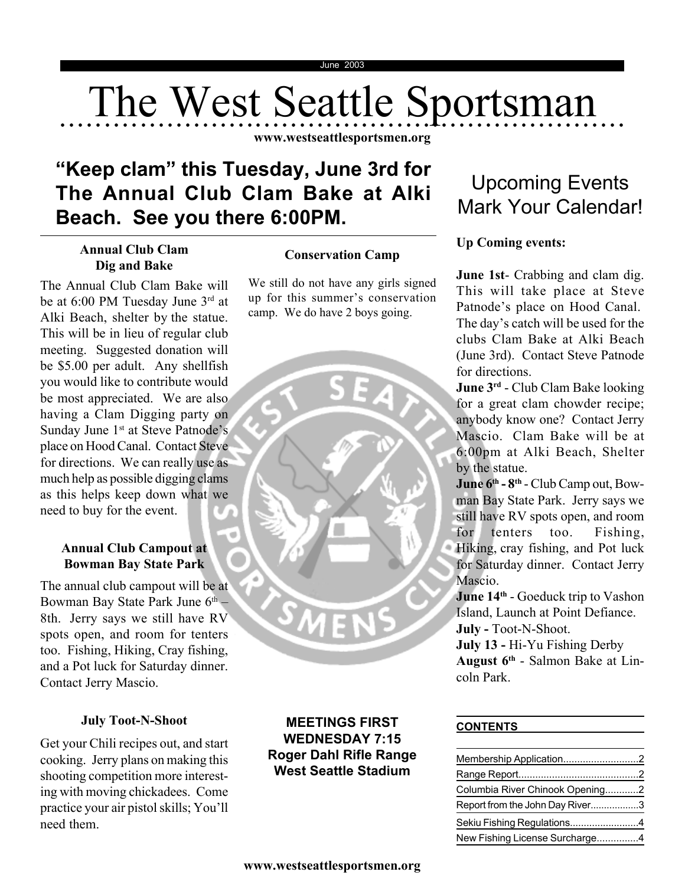# The West Seattle Sportsman

**www.westseattlesportsmen.org**

# **"Keep clam" this Tuesday, June 3rd for The Annual Club Clam Bake at Alki Beach. See you there 6:00PM.**

# **Annual Club Clam Dig and Bake**

The Annual Club Clam Bake will be at 6:00 PM Tuesday June 3rd at Alki Beach, shelter by the statue. This will be in lieu of regular club meeting. Suggested donation will be \$5.00 per adult. Any shellfish you would like to contribute would be most appreciated. We are also having a Clam Digging party on Sunday June 1<sup>st</sup> at Steve Patnode's place on Hood Canal. Contact Steve for directions. We can really use as much help as possible digging clams as this helps keep down what we need to buy for the event.

# **Annual Club Campout at Bowman Bay State Park**

The annual club campout will be at Bowman Bay State Park June 6<sup>th</sup> -8th. Jerry says we still have RV spots open, and room for tenters too. Fishing, Hiking, Cray fishing, and a Pot luck for Saturday dinner. Contact Jerry Mascio.

# **July Toot-N-Shoot**

Get your Chili recipes out, and start cooking. Jerry plans on making this shooting competition more interesting with moving chickadees. Come practice your air pistol skills; You'll need them.

# **Conservation Camp**

We still do not have any girls signed up for this summer's conservation camp. We do have 2 boys going.



# **MEETINGS FIRST WEDNESDAY 7:15 Roger Dahl Rifle Range West Seattle Stadium**

# Upcoming Events Mark Your Calendar!

# **Up Coming events:**

**June 1st**- Crabbing and clam dig. This will take place at Steve Patnode's place on Hood Canal. The day's catch will be used for the clubs Clam Bake at Alki Beach (June 3rd). Contact Steve Patnode for directions.

**June 3rd** - Club Clam Bake looking for a great clam chowder recipe; anybody know one? Contact Jerry Mascio. Clam Bake will be at 6:00pm at Alki Beach, Shelter by the statue.

**June 6th - 8th** - Club Camp out, Bowman Bay State Park. Jerry says we still have RV spots open, and room for tenters too. Fishing, Hiking, cray fishing, and Pot luck for Saturday dinner. Contact Jerry Mascio.

**June 14<sup>th</sup> - Goeduck trip to Vashon** Island, Launch at Point Defiance.

**July -** Toot-N-Shoot.

**July 13 -** Hi-Yu Fishing Derby **August 6th** - Salmon Bake at Lincoln Park.

## **CONTENTS**

| Membership Application2         |  |
|---------------------------------|--|
|                                 |  |
| Columbia River Chinook Opening2 |  |
| Report from the John Day River3 |  |
| Sekiu Fishing Regulations4      |  |
| New Fishing License Surcharge4  |  |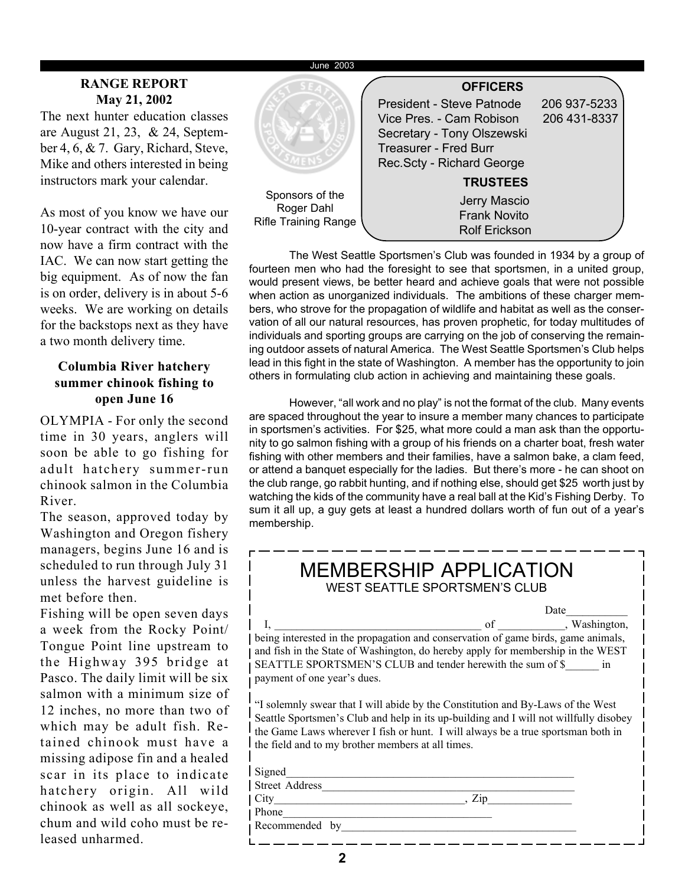#### June 2003

## **RANGE REPORT May 21, 2002**

The next hunter education classes are August 21, 23, & 24, September 4, 6, & 7. Gary, Richard, Steve, Mike and others interested in being instructors mark your calendar.

As most of you know we have our 10-year contract with the city and now have a firm contract with the IAC. We can now start getting the big equipment. As of now the fan is on order, delivery is in about 5-6 weeks. We are working on details for the backstops next as they have a two month delivery time.

# **Columbia River hatchery summer chinook fishing to open June 16**

OLYMPIA - For only the second time in 30 years, anglers will soon be able to go fishing for adult hatchery summer-run chinook salmon in the Columbia River.

The season, approved today by Washington and Oregon fishery managers, begins June 16 and is scheduled to run through July 31 unless the harvest guideline is met before then.

Fishing will be open seven days a week from the Rocky Point/ Tongue Point line upstream to the Highway 395 bridge at Pasco. The daily limit will be six salmon with a minimum size of 12 inches, no more than two of which may be adult fish. Retained chinook must have a missing adipose fin and a healed scar in its place to indicate hatchery origin. All wild chinook as well as all sockeye, chum and wild coho must be released unharmed.



The West Seattle Sportsmen's Club was founded in 1934 by a group of fourteen men who had the foresight to see that sportsmen, in a united group, would present views, be better heard and achieve goals that were not possible when action as unorganized individuals. The ambitions of these charger members, who strove for the propagation of wildlife and habitat as well as the conservation of all our natural resources, has proven prophetic, for today multitudes of individuals and sporting groups are carrying on the job of conserving the remaining outdoor assets of natural America. The West Seattle Sportsmen's Club helps lead in this fight in the state of Washington. A member has the opportunity to join others in formulating club action in achieving and maintaining these goals.

However, "all work and no play" is not the format of the club. Many events are spaced throughout the year to insure a member many chances to participate in sportsmen's activities. For \$25, what more could a man ask than the opportunity to go salmon fishing with a group of his friends on a charter boat, fresh water fishing with other members and their families, have a salmon bake, a clam feed, or attend a banquet especially for the ladies. But there's more - he can shoot on the club range, go rabbit hunting, and if nothing else, should get \$25 worth just by watching the kids of the community have a real ball at the Kid's Fishing Derby. To sum it all up, a guy gets at least a hundred dollars worth of fun out of a year's membership.

| <b>MEMBERSHIP APPLICATION</b><br><b>WEST SEATTLE SPORTSMEN'S CLUB</b>                                                                                                                                                                                                                                             |  |  |
|-------------------------------------------------------------------------------------------------------------------------------------------------------------------------------------------------------------------------------------------------------------------------------------------------------------------|--|--|
| Date                                                                                                                                                                                                                                                                                                              |  |  |
|                                                                                                                                                                                                                                                                                                                   |  |  |
| being interested in the propagation and conservation of game birds, game animals,                                                                                                                                                                                                                                 |  |  |
| and fish in the State of Washington, do hereby apply for membership in the WEST                                                                                                                                                                                                                                   |  |  |
| SEATTLE SPORTSMEN'S CLUB and tender herewith the sum of \$ in                                                                                                                                                                                                                                                     |  |  |
| payment of one year's dues.                                                                                                                                                                                                                                                                                       |  |  |
| "I solemnly swear that I will abide by the Constitution and By-Laws of the West<br>Seattle Sportsmen's Club and help in its up-building and I will not willfully disobey<br>the Game Laws wherever I fish or hunt. I will always be a true sportsman both in<br>the field and to my brother members at all times. |  |  |
| Signed                                                                                                                                                                                                                                                                                                            |  |  |
| <b>Street Address</b>                                                                                                                                                                                                                                                                                             |  |  |
| Zip<br>$City \qquad \qquad \qquad \qquad$                                                                                                                                                                                                                                                                         |  |  |
| Phone                                                                                                                                                                                                                                                                                                             |  |  |
| Recommended by                                                                                                                                                                                                                                                                                                    |  |  |
|                                                                                                                                                                                                                                                                                                                   |  |  |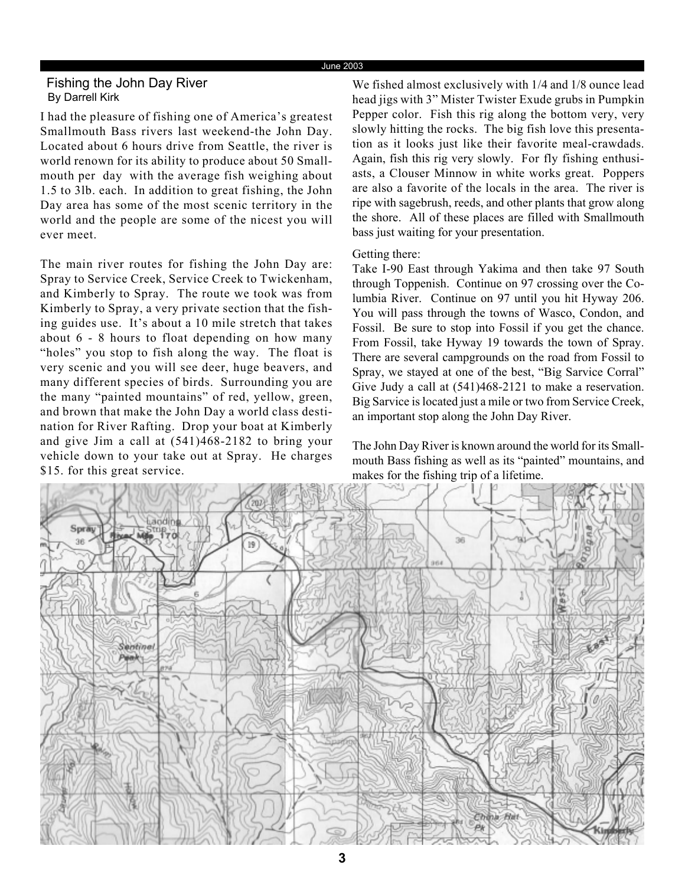#### June 2003

## Fishing the John Day River By Darrell Kirk

I had the pleasure of fishing one of America's greatest Smallmouth Bass rivers last weekend-the John Day. Located about 6 hours drive from Seattle, the river is world renown for its ability to produce about 50 Smallmouth per day with the average fish weighing about 1.5 to 3lb. each. In addition to great fishing, the John Day area has some of the most scenic territory in the world and the people are some of the nicest you will ever meet.

The main river routes for fishing the John Day are: Spray to Service Creek, Service Creek to Twickenham, and Kimberly to Spray. The route we took was from Kimberly to Spray, a very private section that the fishing guides use. It's about a 10 mile stretch that takes about 6 - 8 hours to float depending on how many "holes" you stop to fish along the way. The float is very scenic and you will see deer, huge beavers, and many different species of birds. Surrounding you are the many "painted mountains" of red, yellow, green, and brown that make the John Day a world class destination for River Rafting. Drop your boat at Kimberly and give Jim a call at (541)468-2182 to bring your vehicle down to your take out at Spray. He charges \$15. for this great service.

We fished almost exclusively with 1/4 and 1/8 ounce lead head jigs with 3" Mister Twister Exude grubs in Pumpkin Pepper color. Fish this rig along the bottom very, very slowly hitting the rocks. The big fish love this presentation as it looks just like their favorite meal-crawdads. Again, fish this rig very slowly. For fly fishing enthusiasts, a Clouser Minnow in white works great. Poppers are also a favorite of the locals in the area. The river is ripe with sagebrush, reeds, and other plants that grow along the shore. All of these places are filled with Smallmouth bass just waiting for your presentation.

### Getting there:

Take I-90 East through Yakima and then take 97 South through Toppenish. Continue on 97 crossing over the Columbia River. Continue on 97 until you hit Hyway 206. You will pass through the towns of Wasco, Condon, and Fossil. Be sure to stop into Fossil if you get the chance. From Fossil, take Hyway 19 towards the town of Spray. There are several campgrounds on the road from Fossil to Spray, we stayed at one of the best, "Big Sarvice Corral" Give Judy a call at (541)468-2121 to make a reservation. Big Sarvice is located just a mile or two from Service Creek, an important stop along the John Day River.

The John Day River is known around the world for its Smallmouth Bass fishing as well as its "painted" mountains, and makes for the fishing trip of a lifetime.